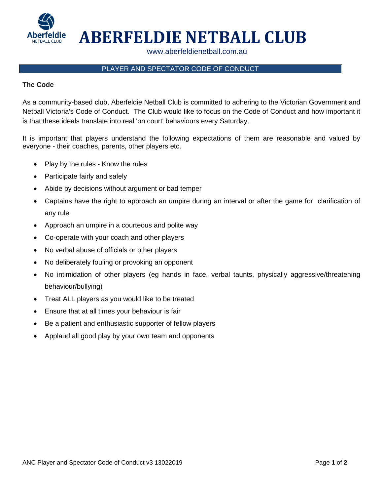

# **ABERFELDIE NETBALL CLUB**

www.aberfeldienetball.com.au

## PLAYER AND SPECTATOR CODE OF CONDUCT

#### **The Code**

As a community-based club, Aberfeldie Netball Club is committed to adhering to the Victorian Government and Netball Victoria's Code of Conduct. The Club would like to focus on the Code of Conduct and how important it is that these ideals translate into real 'on court' behaviours every Saturday.

It is important that players understand the following expectations of them are reasonable and valued by everyone - their coaches, parents, other players etc.

- Play by the rules Know the rules
- Participate fairly and safely
- Abide by decisions without argument or bad temper
- Captains have the right to approach an umpire during an interval or after the game for clarification of any rule
- Approach an umpire in a courteous and polite way
- Co-operate with your coach and other players
- No verbal abuse of officials or other players
- No deliberately fouling or provoking an opponent
- No intimidation of other players (eg hands in face, verbal taunts, physically aggressive/threatening behaviour/bullying)
- Treat ALL players as you would like to be treated
- Ensure that at all times your behaviour is fair
- Be a patient and enthusiastic supporter of fellow players
- Applaud all good play by your own team and opponents